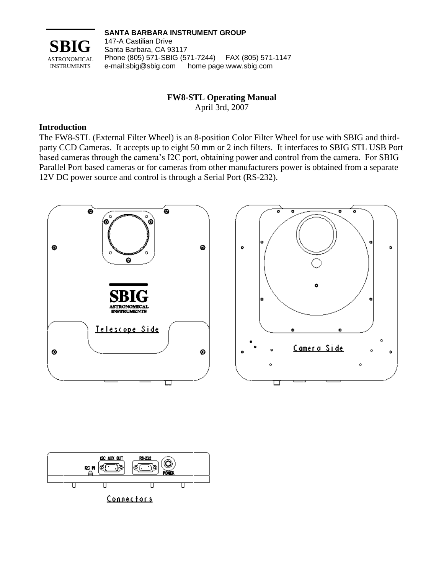

**SANTA BARBARA INSTRUMENT GROUP**

147-A Castilian Drive Santa Barbara, CA 93117 Phone (805) 571-SBIG (571-7244) FAX (805) 571-1147 e-mail:sbig@sbig.com home page:www.sbig.com

## **FW8-STL Operating Manual**

April 3rd, 2007

### **Introduction**

The FW8-STL (External Filter Wheel) is an 8-position Color Filter Wheel for use with SBIG and thirdparty CCD Cameras. It accepts up to eight 50 mm or 2 inch filters. It interfaces to SBIG STL USB Port based cameras through the camera's I2C port, obtaining power and control from the camera. For SBIG Parallel Port based cameras or for cameras from other manufacturers power is obtained from a separate 12V DC power source and control is through a Serial Port (RS-232).